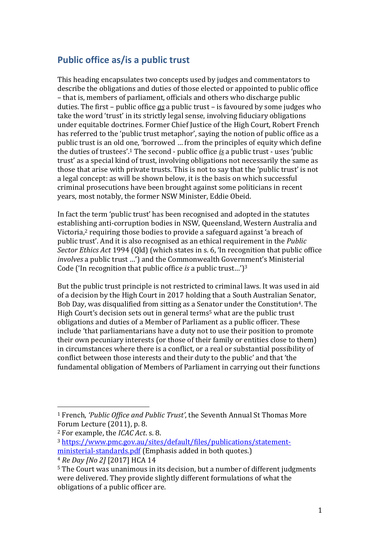## **Public office as/is a public trust**

This heading encapsulates two concepts used by judges and commentators to describe the obligations and duties of those elected or appointed to public office – that is, members of parliament, officials and others who discharge public duties. The first – public office *as* a public trust – is favoured by some judges who take the word 'trust' in its strictly legal sense, involving fiduciary obligations under equitable doctrines. Former Chief Justice of the High Court, Robert French has referred to the 'public trust metaphor', saying the notion of public office as a public trust is an old one, 'borrowed … from the principles of equity which define the duties of trustees'.<sup>1</sup> The second - public office *is* a public trust - uses 'public trust' as a special kind of trust, involving obligations not necessarily the same as those that arise with private trusts. This is not to say that the 'public trust' is not a legal concept: as will be shown below, it is the basis on which successful criminal prosecutions have been brought against some politicians in recent years, most notably, the former NSW Minister, Eddie Obeid.

In fact the term 'public trust' has been recognised and adopted in the statutes establishing anti-corruption bodies in NSW, Queensland, Western Australia and Victoria,<sup>2</sup> requiring those bodies to provide a safeguard against 'a breach of public trust'. And it is also recognised as an ethical requirement in the *Public Sector Ethics Act* 1994 (Qld) (which states in s. 6, 'In recognition that public office *involves* a public trust …') and the Commonwealth Government's Ministerial Code ('In recognition that public office *is* a public trust…')<sup>3</sup>

But the public trust principle is not restricted to criminal laws. It was used in aid of a decision by the High Court in 2017 holding that a South Australian Senator, Bob Day, was disqualified from sitting as a Senator under the Constitution<sup>4</sup>. The High Court's decision sets out in general terms<sup>5</sup> what are the public trust obligations and duties of a Member of Parliament as a public officer. These include 'that parliamentarians have a duty not to use their position to promote their own pecuniary interests (or those of their family or entities close to them) in circumstances where there is a conflict, or a real or substantial possibility of conflict between those interests and their duty to the public' and that 'the fundamental obligation of Members of Parliament in carrying out their functions

<sup>1</sup> French, *'Public Office and Public Trust'*, the Seventh Annual St Thomas More Forum Lecture (2011), p. 8.

<sup>2</sup> For example, the *ICAC Act*. s. 8.

<sup>3</sup> [https://www.pmc.gov.au/sites/default/files/publications/statement](https://www.pmc.gov.au/sites/default/files/publications/statement-ministerial-standards.pdf)[ministerial-standards.pdf](https://www.pmc.gov.au/sites/default/files/publications/statement-ministerial-standards.pdf) (Emphasis added in both quotes.)

<sup>4</sup> *Re Day [No 2]* [2017] HCA 14

<sup>5</sup> The Court was unanimous in its decision, but a number of different judgments were delivered. They provide slightly different formulations of what the obligations of a public officer are.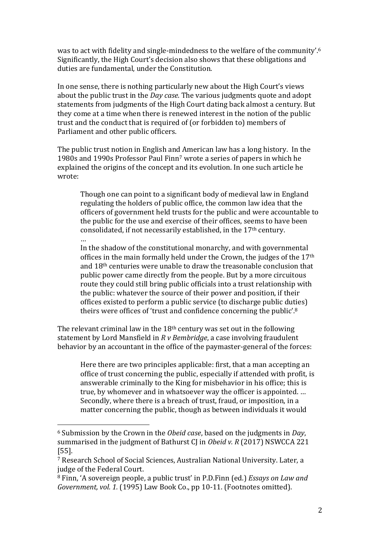was to act with fidelity and single-mindedness to the welfare of the community'.<sup>6</sup> Significantly, the High Court's decision also shows that these obligations and duties are fundamental, under the Constitution.

In one sense, there is nothing particularly new about the High Court's views about the public trust in the *Day case*. The various judgments quote and adopt statements from judgments of the High Court dating back almost a century. But they come at a time when there is renewed interest in the notion of the public trust and the conduct that is required of (or forbidden to) members of Parliament and other public officers.

The public trust notion in English and American law has a long history. In the 1980s and 1990s Professor Paul Finn<sup>7</sup> wrote a series of papers in which he explained the origins of the concept and its evolution. In one such article he wrote:

Though one can point to a significant body of medieval law in England regulating the holders of public office, the common law idea that the officers of government held trusts for the public and were accountable to the public for the use and exercise of their offices, seems to have been consolidated, if not necessarily established, in the 17th century.

… In the shadow of the constitutional monarchy, and with governmental offices in the main formally held under the Crown, the judges of the 17th and 18th centuries were unable to draw the treasonable conclusion that public power came directly from the people. But by a more circuitous route they could still bring public officials into a trust relationship with the public: whatever the source of their power and position, if their offices existed to perform a public service (to discharge public duties) theirs were offices of 'trust and confidence concerning the public'.<sup>8</sup>

The relevant criminal law in the 18<sup>th</sup> century was set out in the following statement by Lord Mansfield in *R v Bembridge*, a case involving fraudulent behavior by an accountant in the office of the paymaster-general of the forces:

Here there are two principles applicable: first, that a man accepting an office of trust concerning the public, especially if attended with profit, is answerable criminally to the King for misbehavior in his office; this is true, by whomever and in whatsoever way the officer is appointed. … Secondly, where there is a breach of trust, fraud, or imposition, in a matter concerning the public, though as between individuals it would

<sup>6</sup> Submission by the Crown in the *Obeid case*, based on the judgments in *Day*, summarised in the judgment of Bathurst CJ in *Obeid v. R* (2017) NSWCCA 221 [55].

<sup>7</sup> Research School of Social Sciences, Australian National University. Later, a judge of the Federal Court.

<sup>8</sup> Finn, 'A sovereign people, a public trust' in P.D.Finn (ed.) *Essays on Law and Government, vol. 1.* (1995) Law Book Co., pp 10-11. (Footnotes omitted).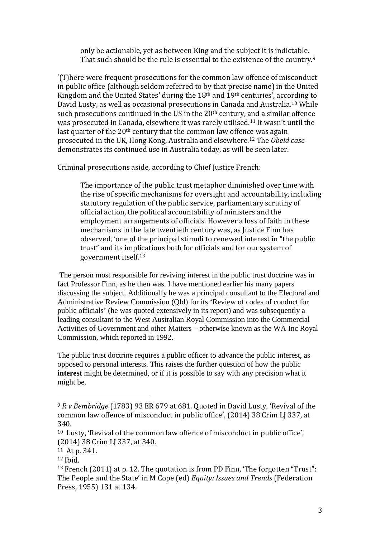only be actionable, yet as between King and the subject it is indictable. That such should be the rule is essential to the existence of the country.<sup>9</sup>

'(T)here were frequent prosecutions for the common law offence of misconduct in public office (although seldom referred to by that precise name) in the United Kingdom and the United States' during the 18th and 19th centuries', according to David Lusty, as well as occasional prosecutions in Canada and Australia. <sup>10</sup> While such prosecutions continued in the US in the 20<sup>th</sup> century, and a similar offence was prosecuted in Canada, elsewhere it was rarely utilised.<sup>11</sup> It wasn't until the last quarter of the 20<sup>th</sup> century that the common law offence was again prosecuted in the UK, Hong Kong, Australia and elsewhere.<sup>12</sup> The *Obeid case* demonstrates its continued use in Australia today, as will be seen later.

Criminal prosecutions aside, according to Chief Justice French:

The importance of the public trust metaphor diminished over time with the rise of specific mechanisms for oversight and accountability, including statutory regulation of the public service, parliamentary scrutiny of official action, the political accountability of ministers and the employment arrangements of officials. However a loss of faith in these mechanisms in the late twentieth century was, as Justice Finn has observed, 'one of the principal stimuli to renewed interest in "the public trust" and its implications both for officials and for our system of government itself.<sup>13</sup>

The person most responsible for reviving interest in the public trust doctrine was in fact Professor Finn, as he then was. I have mentioned earlier his many papers discussing the subject. Additionally he was a principal consultant to the Electoral and Administrative Review Commission (Qld) for its 'Review of codes of conduct for public officials' (he was quoted extensively in its report) and was subsequently a leading consultant to the West Australian Royal Commission into the Commercial Activities of Government and other Matters – otherwise known as the WA Inc Royal Commission, which reported in 1992.

The public trust doctrine requires a public officer to advance the public interest, as opposed to personal interests. This raises the further question of how the public **interest** might be determined, or if it is possible to say with any precision what it might be.

<sup>9</sup> *R v Bembridge* (1783) 93 ER 679 at 681. Quoted in David Lusty*,* 'Revival of the common law offence of misconduct in public office', (2014) 38 Crim LJ 337, at 340.

<sup>10</sup> Lusty, 'Revival of the common law offence of misconduct in public office', (2014) 38 Crim LJ 337, at 340.

<sup>11</sup> At p. 341.

<sup>12</sup> Ibid.

<sup>13</sup> French (2011) at p. 12. The quotation is from PD Finn, 'The forgotten "Trust": The People and the State' in M Cope (ed) *Equity: Issues and Trends* (Federation Press, 1955) 131 at 134.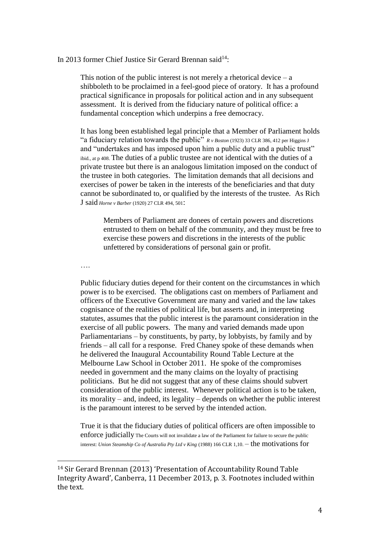## In 2013 former Chief Justice Sir Gerard Brennan said<sup>14</sup>:

This notion of the public interest is not merely a rhetorical device  $-$  a shibboleth to be proclaimed in a feel-good piece of oratory. It has a profound practical significance in proposals for political action and in any subsequent assessment. It is derived from the fiduciary nature of political office: a fundamental conception which underpins a free democracy.

It has long been established legal principle that a Member of Parliament holds "a fiduciary relation towards the public"  $R v_{\text{Bottom}}$  (1923) 33 CLR 386, 412 per Higgins J and "undertakes and has imposed upon him a public duty and a public trust" ibid., at p 408. The duties of a public trustee are not identical with the duties of a private trustee but there is an analogous limitation imposed on the conduct of the trustee in both categories. The limitation demands that all decisions and exercises of power be taken in the interests of the beneficiaries and that duty cannot be subordinated to, or qualified by the interests of the trustee. As Rich J said *Horne v Barber* (1920) 27 CLR 494, 501:

Members of Parliament are donees of certain powers and discretions entrusted to them on behalf of the community, and they must be free to exercise these powers and discretions in the interests of the public unfettered by considerations of personal gain or profit.

….

Public fiduciary duties depend for their content on the circumstances in which power is to be exercised. The obligations cast on members of Parliament and officers of the Executive Government are many and varied and the law takes cognisance of the realities of political life, but asserts and, in interpreting statutes, assumes that the public interest is the paramount consideration in the exercise of all public powers. The many and varied demands made upon Parliamentarians – by constituents, by party, by lobbyists, by family and by friends – all call for a response. Fred Chaney spoke of these demands when he delivered the Inaugural Accountability Round Table Lecture at the Melbourne Law School in October 2011. He spoke of the compromises needed in government and the many claims on the loyalty of practising politicians. But he did not suggest that any of these claims should subvert consideration of the public interest. Whenever political action is to be taken, its morality – and, indeed, its legality – depends on whether the public interest is the paramount interest to be served by the intended action.

True it is that the fiduciary duties of political officers are often impossible to enforce judicially The Courts will not invalidate a law of the Parliament for failure to secure the public interest: *Union Steamship Co of Australia Pty Ltd v King* (1988) 166 CLR 1,10. – the motivations for

<sup>14</sup> Sir Gerard Brennan (2013) 'Presentation of Accountability Round Table Integrity Award', Canberra, 11 December 2013, p. 3. Footnotes included within the text.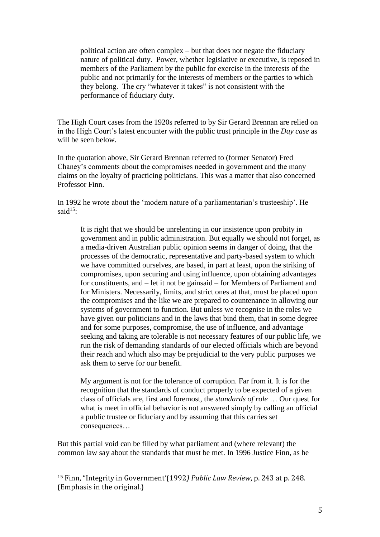political action are often complex – but that does not negate the fiduciary nature of political duty. Power, whether legislative or executive, is reposed in members of the Parliament by the public for exercise in the interests of the public and not primarily for the interests of members or the parties to which they belong. The cry "whatever it takes" is not consistent with the performance of fiduciary duty.

The High Court cases from the 1920s referred to by Sir Gerard Brennan are relied on in the High Court's latest encounter with the public trust principle in the *Day case* as will be seen below.

In the quotation above, Sir Gerard Brennan referred to (former Senator) Fred Chaney's comments about the compromises needed in government and the many claims on the loyalty of practicing politicians. This was a matter that also concerned Professor Finn.

In 1992 he wrote about the 'modern nature of a parliamentarian's trusteeship'. He said<sup>15.</sup>

It is right that we should be unrelenting in our insistence upon probity in government and in public administration. But equally we should not forget, as a media-driven Australian public opinion seems in danger of doing, that the processes of the democratic, representative and party-based system to which we have committed ourselves, are based, in part at least, upon the striking of compromises, upon securing and using influence, upon obtaining advantages for constituents, and – let it not be gainsaid – for Members of Parliament and for Ministers. Necessarily, limits, and strict ones at that, must be placed upon the compromises and the like we are prepared to countenance in allowing our systems of government to function. But unless we recognise in the roles we have given our politicians and in the laws that bind them, that in some degree and for some purposes, compromise, the use of influence, and advantage seeking and taking are tolerable is not necessary features of our public life, we run the risk of demanding standards of our elected officials which are beyond their reach and which also may be prejudicial to the very public purposes we ask them to serve for our benefit.

My argument is not for the tolerance of corruption. Far from it. It is for the recognition that the standards of conduct properly to be expected of a given class of officials are, first and foremost, the *standards of role* … Our quest for what is meet in official behavior is not answered simply by calling an official a public trustee or fiduciary and by assuming that this carries set consequences…

But this partial void can be filled by what parliament and (where relevant) the common law say about the standards that must be met. In 1996 Justice Finn, as he

<sup>15</sup> Finn, "Integrity in Government'(1992*) Public Law Review*, p. 243 at p. 248. (Emphasis in the original.)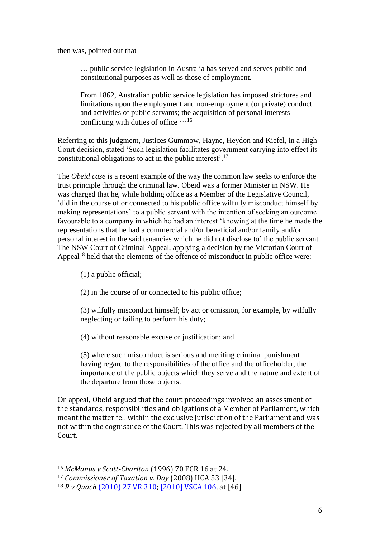then was, pointed out that

… public service legislation in Australia has served and serves public and constitutional purposes as well as those of employment.

From 1862, Australian public service legislation has imposed strictures and limitations upon the employment and non-employment (or private) conduct and activities of public servants; the acquisition of personal interests conflicting with duties of office  $\cdots$ <sup>16</sup>

Referring to this judgment, Justices Gummow, Hayne, Heydon and Kiefel, in a High Court decision, stated 'Such legislation facilitates government carrying into effect its constitutional obligations to act in the public interest'. 17

The *Obeid case* is a recent example of the way the common law seeks to enforce the trust principle through the criminal law. Obeid was a former Minister in NSW. He was charged that he, while holding office as a Member of the Legislative Council, 'did in the course of or connected to his public office wilfully misconduct himself by making representations' to a public servant with the intention of seeking an outcome favourable to a company in which he had an interest 'knowing at the time he made the representations that he had a commercial and/or beneficial and/or family and/or personal interest in the said tenancies which he did not disclose to' the public servant. The NSW Court of Criminal Appeal, applying a decision by the Victorian Court of Appeal<sup>18</sup> held that the elements of the offence of misconduct in public office were:

(1) a public official;

(2) in the course of or connected to his public office;

(3) wilfully misconduct himself; by act or omission, for example, by wilfully neglecting or failing to perform his duty;

(4) without reasonable excuse or justification; and

(5) where such misconduct is serious and meriting criminal punishment having regard to the responsibilities of the office and the officeholder, the importance of the public objects which they serve and the nature and extent of the departure from those objects.

On appeal, Obeid argued that the court proceedings involved an assessment of the standards, responsibilities and obligations of a Member of Parliament, which meant the matter fell within the exclusive jurisdiction of the Parliament and was not within the cognisance of the Court. This was rejected by all members of the Court.

<sup>16</sup> *McManus v Scott-Charlton* (1996) 70 FCR 16 at 24.

<sup>17</sup> *Commissioner of Taxation v. Day* (2008) HCA 53 [34].

<sup>18</sup> *R v Quach* [\(2010\) 27 VR 310;](http://www8.austlii.edu.au/cgi-bin/LawCite?cit=%282010%29%2027%20VR%20310) [\[2010\] VSCA 106,](http://www8.austlii.edu.au/cgi-bin/viewdoc/au/cases/vic/VSCA/2010/106.html) at [46]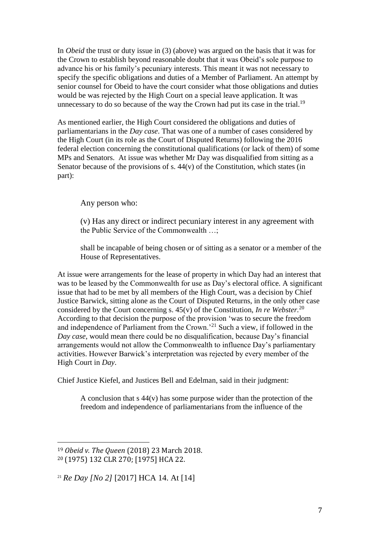In *Obeid* the trust or duty issue in (3) (above) was argued on the basis that it was for the Crown to establish beyond reasonable doubt that it was Obeid's sole purpose to advance his or his family's pecuniary interests. This meant it was not necessary to specify the specific obligations and duties of a Member of Parliament. An attempt by senior counsel for Obeid to have the court consider what those obligations and duties would be was rejected by the High Court on a special leave application. It was unnecessary to do so because of the way the Crown had put its case in the trial.<sup>19</sup>

As mentioned earlier, the High Court considered the obligations and duties of parliamentarians in the *Day case*. That was one of a number of cases considered by the High Court (in its role as the Court of Disputed Returns) following the 2016 federal election concerning the constitutional qualifications (or lack of them) of some MPs and Senators. At issue was whether Mr Day was disqualified from sitting as a Senator because of the provisions of s. 44(v) of the Constitution, which states (in part):

Any person who:

(v) Has any direct or indirect pecuniary interest in any agreement with the Public Service of the Commonwealth …;

shall be incapable of being chosen or of sitting as a senator or a member of the House of Representatives.

At issue were arrangements for the lease of property in which Day had an interest that was to be leased by the Commonwealth for use as Day's electoral office. A significant issue that had to be met by all members of the High Court, was a decision by Chief Justice Barwick, sitting alone as the Court of Disputed Returns, in the only other case considered by the Court concerning s. 45(v) of the Constitution, *In re Webster.* 20 According to that decision the purpose of the provision 'was to secure the freedom and independence of Parliament from the Crown.'<sup>21</sup> Such a view, if followed in the *Day case*, would mean there could be no disqualification, because Day's financial arrangements would not allow the Commonwealth to influence Day's parliamentary activities. However Barwick's interpretation was rejected by every member of the High Court in *Day*.

Chief Justice Kiefel, and Justices Bell and Edelman, said in their judgment:

A conclusion that s 44(v) has some purpose wider than the protection of the freedom and independence of parliamentarians from the influence of the

<sup>19</sup> *Obeid v. The Queen* (2018) 23 March 2018. <sup>20</sup> (1975) 132 CLR 270; [1975] HCA 22.

<sup>21</sup> *Re Day [No 2]* [2017] HCA 14. At [14]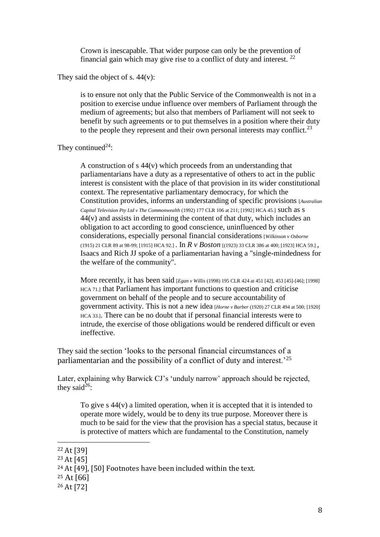Crown is inescapable. That wider purpose can only be the prevention of financial gain which may give rise to a conflict of duty and interest.  $22$ 

They said the object of s.  $44(v)$ :

is to ensure not only that the Public Service of the Commonwealth is not in a position to exercise undue influence over members of Parliament through the medium of agreements; but also that members of Parliament will not seek to benefit by such agreements or to put themselves in a position where their duty to the people they represent and their own personal interests may conflict.<sup>23</sup>

They continued<sup>24</sup>:

A construction of s 44(v) which proceeds from an understanding that parliamentarians have a duty as a representative of others to act in the public interest is consistent with the place of that provision in its wider constitutional context. The representative parliamentary democracy, for which the Constitution provides, informs an understanding of specific provisions [*Australian Capital Television Pty Ltd v The Commonwealth* (1992) 177 CLR 106 at 211; [1992] HCA 45.] such as s 44(v) and assists in determining the content of that duty, which includes an obligation to act according to good conscience, uninfluenced by other considerations, especially personal financial considerations [*Wilkinson v Osborne* (1915) 21 CLR 89 at 98-99; [1915] HCA 92.] . In *R v Boston* [(1923) 33 CLR 386 at 400; [1923] HCA 59.] , Isaacs and Rich JJ spoke of a parliamentarian having a "single-mindedness for the welfare of the community".

More recently, it has been said [*Egan v Willis* (1998) 195 CLR 424 at 451 [42], 453 [45]-[46]; [1998] HCA 71.] that Parliament has important functions to question and criticise government on behalf of the people and to secure accountability of government activity. This is not a new idea [*Horne v Barber* (1920) 27 CLR 494 at 500; [1920] HCA 33.]. There can be no doubt that if personal financial interests were to intrude, the exercise of those obligations would be rendered difficult or even ineffective.

They said the section 'looks to the personal financial circumstances of a parliamentarian and the possibility of a conflict of duty and interest.'<sup>25</sup>

Later, explaining why Barwick CJ's 'unduly narrow' approach should be rejected, they said<sup>26</sup>:

To give s  $44(v)$  a limited operation, when it is accepted that it is intended to operate more widely, would be to deny its true purpose. Moreover there is much to be said for the view that the provision has a special status, because it is protective of matters which are fundamental to the Constitution, namely

<sup>22</sup> At [39]

<sup>23</sup> At [45]

<sup>24</sup> At [49], [50] Footnotes have been included within the text.

 $25$  At [66]

<sup>26</sup> At [72]